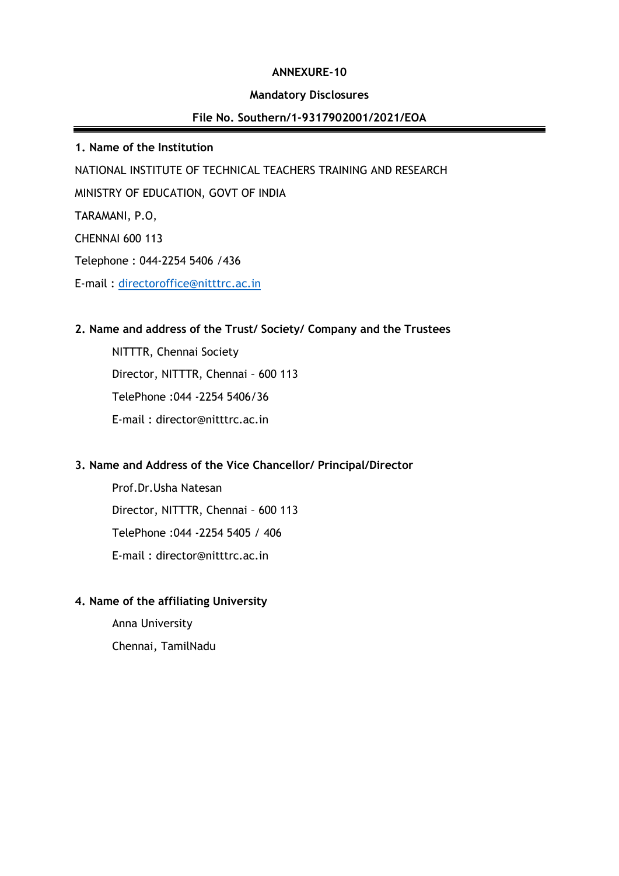#### **ANNEXURE-10**

#### **Mandatory Disclosures**

## **File No. Southern/1-9317902001/2021/EOA**

**1. Name of the Institution** NATIONAL INSTITUTE OF TECHNICAL TEACHERS TRAINING AND RESEARCH MINISTRY OF EDUCATION, GOVT OF INDIA TARAMANI, P.O, CHENNAI 600 113 Telephone : 044-2254 5406 /436

E-mail : [directoroffice@nitttrc.ac.in](mailto:directoroffice@nitttrc.ac.in)

#### **2. Name and address of the Trust/ Society/ Company and the Trustees**

NITTTR, Chennai Society Director, NITTTR, Chennai – 600 113 TelePhone :044 -2254 5406/36 E-mail : director@nitttrc.ac.in

## **3. Name and Address of the Vice Chancellor/ Principal/Director**

Prof.Dr.Usha Natesan Director, NITTTR, Chennai – 600 113 TelePhone :044 -2254 5405 / 406 E-mail : director@nitttrc.ac.in

### **4. Name of the affiliating University**

Anna University Chennai, TamilNadu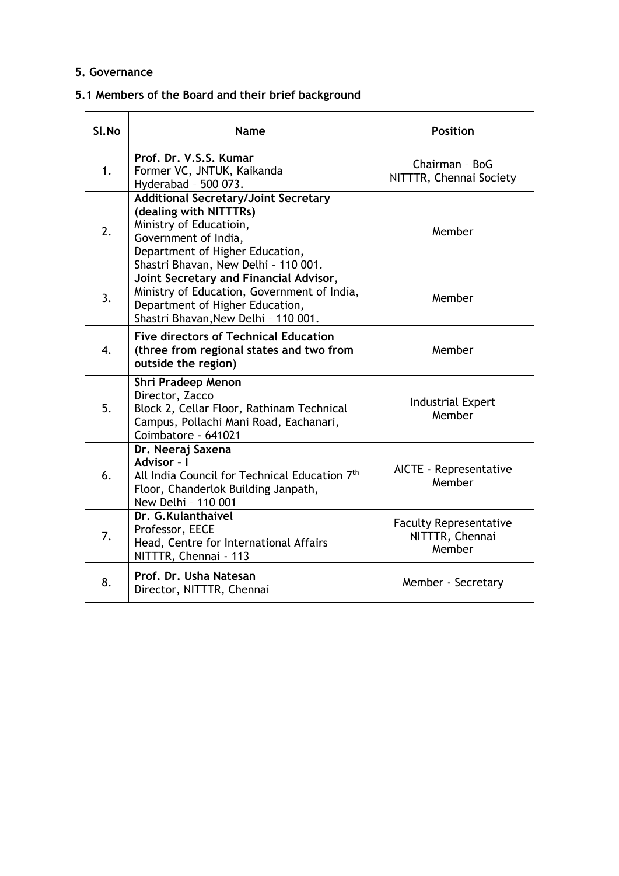### **5. Governance**

# **5.1 Members of the Board and their brief background**

| Sl.No | <b>Name</b>                                                                                                                                                                                         | <b>Position</b>                                            |
|-------|-----------------------------------------------------------------------------------------------------------------------------------------------------------------------------------------------------|------------------------------------------------------------|
| 1.    | Prof. Dr. V.S.S. Kumar<br>Former VC, JNTUK, Kaikanda<br>Hyderabad - 500 073.                                                                                                                        | Chairman - BoG<br>NITTTR, Chennai Society                  |
| 2.    | <b>Additional Secretary/Joint Secretary</b><br>(dealing with NITTTRs)<br>Ministry of Educatioin,<br>Government of India,<br>Department of Higher Education,<br>Shastri Bhavan, New Delhi - 110 001. | Member                                                     |
| 3.    | Joint Secretary and Financial Advisor,<br>Ministry of Education, Government of India,<br>Department of Higher Education,<br>Shastri Bhavan, New Delhi - 110 001.                                    | Member                                                     |
| 4.    | <b>Five directors of Technical Education</b><br>(three from regional states and two from<br>outside the region)                                                                                     | Member                                                     |
| 5.    | Shri Pradeep Menon<br>Director, Zacco<br>Block 2, Cellar Floor, Rathinam Technical<br>Campus, Pollachi Mani Road, Eachanari,<br>Coimbatore - 641021                                                 | <b>Industrial Expert</b><br>Member                         |
| 6.    | Dr. Neeraj Saxena<br>Advisor - I<br>All India Council for Technical Education 7th<br>Floor, Chanderlok Building Janpath,<br>New Delhi - 110 001                                                     | AICTE - Representative<br>Member                           |
| 7.    | Dr. G.Kulanthaivel<br>Professor, EECE<br>Head, Centre for International Affairs<br>NITTTR, Chennai - 113                                                                                            | <b>Faculty Representative</b><br>NITTTR, Chennai<br>Member |
| 8.    | Prof. Dr. Usha Natesan<br>Director, NITTTR, Chennai                                                                                                                                                 | Member - Secretary                                         |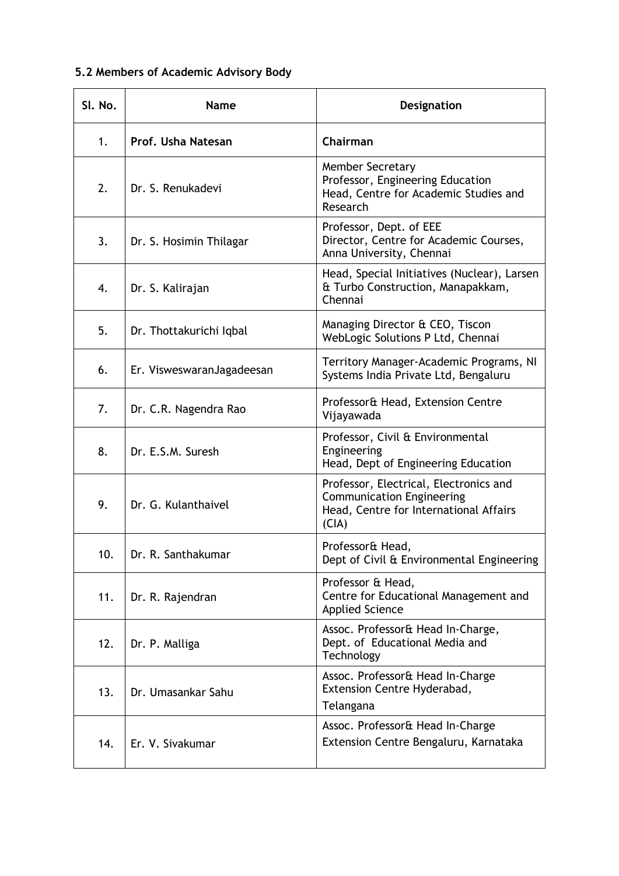# **5.2 Members of Academic Advisory Body**

| SI. No. | <b>Name</b>               | Designation                                                                                                                   |
|---------|---------------------------|-------------------------------------------------------------------------------------------------------------------------------|
| 1.      | Prof. Usha Natesan        | Chairman                                                                                                                      |
| 2.      | Dr. S. Renukadevi         | <b>Member Secretary</b><br>Professor, Engineering Education<br>Head, Centre for Academic Studies and<br>Research              |
| 3.      | Dr. S. Hosimin Thilagar   | Professor, Dept. of EEE<br>Director, Centre for Academic Courses,<br>Anna University, Chennai                                 |
| 4.      | Dr. S. Kalirajan          | Head, Special Initiatives (Nuclear), Larsen<br>& Turbo Construction, Manapakkam,<br>Chennai                                   |
| 5.      | Dr. Thottakurichi Iqbal   | Managing Director & CEO, Tiscon<br>WebLogic Solutions P Ltd, Chennai                                                          |
| 6.      | Er. VisweswaranJagadeesan | Territory Manager-Academic Programs, NI<br>Systems India Private Ltd, Bengaluru                                               |
| 7.      | Dr. C.R. Nagendra Rao     | Professor& Head, Extension Centre<br>Vijayawada                                                                               |
| 8.      | Dr. E.S.M. Suresh         | Professor, Civil & Environmental<br>Engineering<br>Head, Dept of Engineering Education                                        |
| 9.      | Dr. G. Kulanthaivel       | Professor, Electrical, Electronics and<br><b>Communication Engineering</b><br>Head, Centre for International Affairs<br>(CIA) |
| 10.     | Dr. R. Santhakumar        | Professor& Head,<br>Dept of Civil & Environmental Engineering                                                                 |
| 11.     | Dr. R. Rajendran          | Professor & Head,<br>Centre for Educational Management and<br><b>Applied Science</b>                                          |
| 12.     | Dr. P. Malliga            | Assoc. Professor& Head In-Charge,<br>Dept. of Educational Media and<br>Technology                                             |
| 13.     | Dr. Umasankar Sahu        | Assoc. Professor& Head In-Charge<br>Extension Centre Hyderabad,<br>Telangana                                                  |
| 14.     | Er. V. Sivakumar          | Assoc. Professor& Head In-Charge<br>Extension Centre Bengaluru, Karnataka                                                     |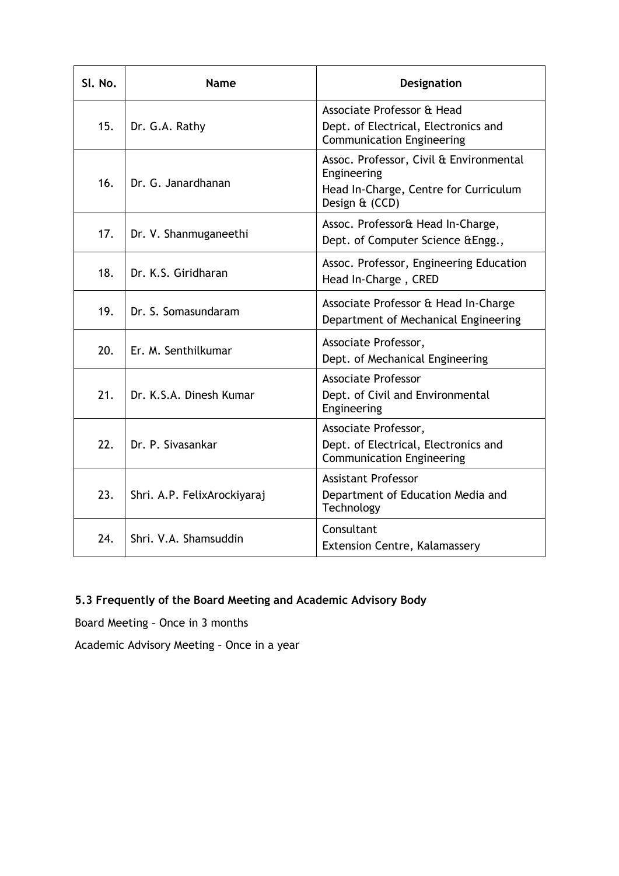| SI. No. | <b>Name</b>                 | Designation                                                                                                       |
|---------|-----------------------------|-------------------------------------------------------------------------------------------------------------------|
| 15.     | Dr. G.A. Rathy              | Associate Professor & Head<br>Dept. of Electrical, Electronics and<br><b>Communication Engineering</b>            |
| 16.     | Dr. G. Janardhanan          | Assoc. Professor, Civil & Environmental<br>Engineering<br>Head In-Charge, Centre for Curriculum<br>Design & (CCD) |
| 17.     | Dr. V. Shanmuganeethi       | Assoc. Professor& Head In-Charge,<br>Dept. of Computer Science & Engg.,                                           |
| 18.     | Dr. K.S. Giridharan         | Assoc. Professor, Engineering Education<br>Head In-Charge, CRED                                                   |
| 19.     | Dr. S. Somasundaram         | Associate Professor & Head In-Charge<br>Department of Mechanical Engineering                                      |
| 20.     | Er. M. Senthilkumar         | Associate Professor,<br>Dept. of Mechanical Engineering                                                           |
| 21.     | Dr. K.S.A. Dinesh Kumar     | <b>Associate Professor</b><br>Dept. of Civil and Environmental<br>Engineering                                     |
| 22.     | Dr. P. Sivasankar           | Associate Professor,<br>Dept. of Electrical, Electronics and<br><b>Communication Engineering</b>                  |
| 23.     | Shri. A.P. FelixArockiyaraj | <b>Assistant Professor</b><br>Department of Education Media and<br>Technology                                     |
| 24.     | Shri. V.A. Shamsuddin       | Consultant<br>Extension Centre, Kalamassery                                                                       |

# **5.3 Frequently of the Board Meeting and Academic Advisory Body**

Board Meeting – Once in 3 months

Academic Advisory Meeting – Once in a year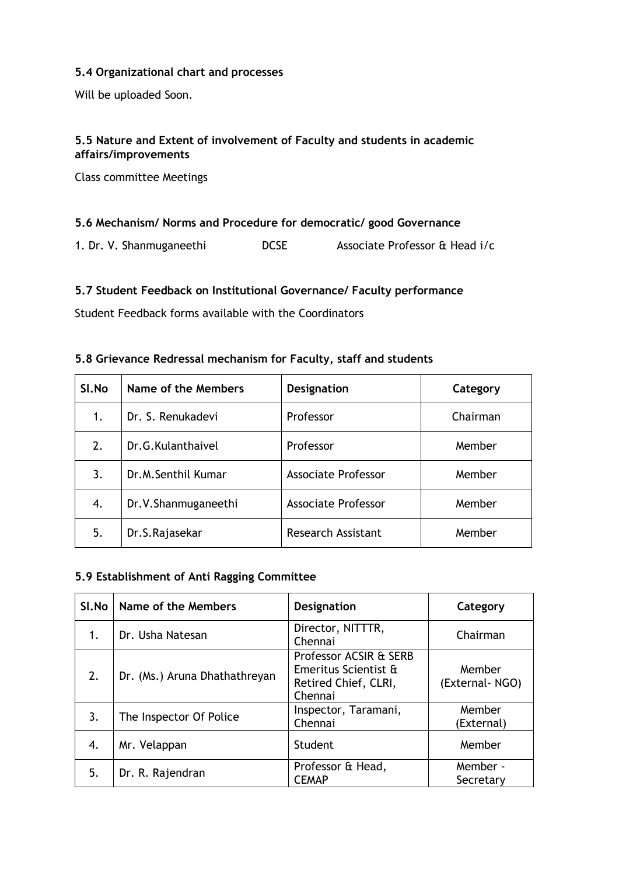### **5.4 Organizational chart and processes**

Will be uploaded Soon.

## **5.5 Nature and Extent of involvement of Faculty and students in academic affairs/improvements**

Class committee Meetings

#### **5.6 Mechanism/ Norms and Procedure for democratic/ good Governance**

1. Dr. V. Shanmuganeethi DCSE Associate Professor & Head i/c

#### **5.7 Student Feedback on Institutional Governance/ Faculty performance**

Student Feedback forms available with the Coordinators

#### **5.8 Grievance Redressal mechanism for Faculty, staff and students**

| SI.No | Name of the Members | <b>Designation</b>         | Category |
|-------|---------------------|----------------------------|----------|
| 1.    | Dr. S. Renukadevi   | Professor                  | Chairman |
| 2.    | Dr.G.Kulanthaivel   | Professor                  | Member   |
| 3.    | Dr.M.Senthil Kumar  | <b>Associate Professor</b> | Member   |
| 4.    | Dr.V.Shanmuganeethi | <b>Associate Professor</b> | Member   |
| 5.    | Dr.S.Rajasekar      | <b>Research Assistant</b>  | Member   |

## **5.9 Establishment of Anti Ragging Committee**

| Sl.No | Name of the Members           | <b>Designation</b>                                                                | Category                 |
|-------|-------------------------------|-----------------------------------------------------------------------------------|--------------------------|
| 1.    | Dr. Usha Natesan              | Director, NITTTR,<br>Chennai                                                      | Chairman                 |
| 2.    | Dr. (Ms.) Aruna Dhathathreyan | Professor ACSIR & SERB<br>Emeritus Scientist &<br>Retired Chief, CLRI,<br>Chennai | Member<br>(External-NGO) |
| 3.    | The Inspector Of Police       | Inspector, Taramani,<br>Chennai                                                   | Member<br>(External)     |
| 4.    | Mr. Velappan                  | Student                                                                           | Member                   |
| 5.    | Dr. R. Rajendran              | Professor & Head,<br><b>CEMAP</b>                                                 | Member -<br>Secretary    |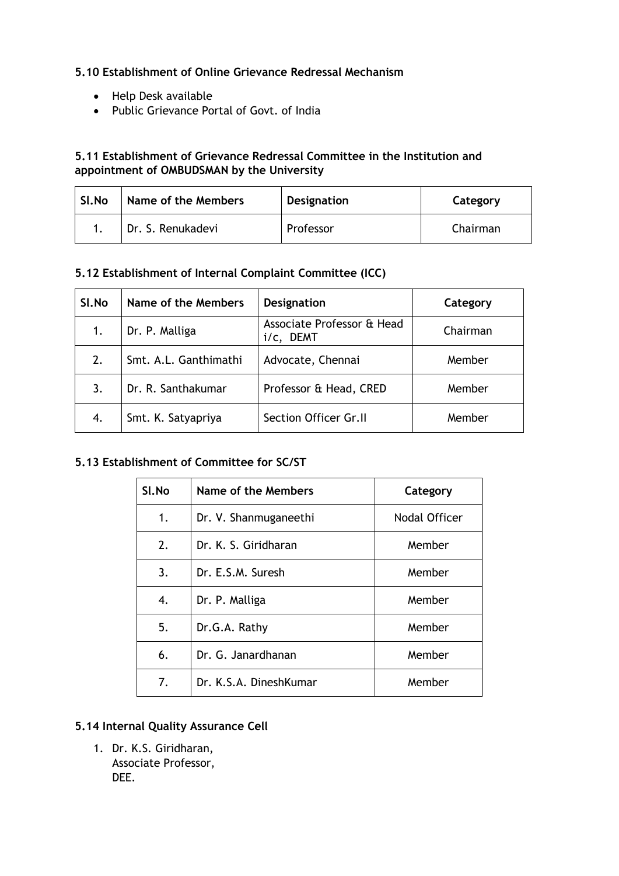## **5.10 Establishment of Online Grievance Redressal Mechanism**

- Help Desk available
- Public Grievance Portal of Govt. of India

### **5.11 Establishment of Grievance Redressal Committee in the Institution and appointment of OMBUDSMAN by the University**

| Sl.No | Name of the Members | <b>Designation</b> | Category |
|-------|---------------------|--------------------|----------|
|       | Dr. S. Renukadevi   | Professor          | Chairman |

## **5.12 Establishment of Internal Complaint Committee (ICC)**

| SI.No | Name of the Members   | <b>Designation</b>                      | Category |
|-------|-----------------------|-----------------------------------------|----------|
| 1.    | Dr. P. Malliga        | Associate Professor & Head<br>i/c, DEMT | Chairman |
| 2.    | Smt. A.L. Ganthimathi | Advocate, Chennai                       | Member   |
| 3.    | Dr. R. Santhakumar    | Professor & Head, CRED                  | Member   |
| 4.    | Smt. K. Satyapriya    | Section Officer Gr.II                   | Member   |

## **5.13 Establishment of Committee for SC/ST**

| Sl.No | Name of the Members    | Category      |
|-------|------------------------|---------------|
| 1.    | Dr. V. Shanmuganeethi  | Nodal Officer |
| 2.    | Dr. K. S. Giridharan   | Member        |
| 3.    | Dr. E.S.M. Suresh      | Member        |
| 4.    | Dr. P. Malliga         | Member        |
| 5.    | Dr.G.A. Rathy          | Member        |
| 6.    | Dr. G. Janardhanan     | Member        |
| 7.    | Dr. K.S.A. DineshKumar | Member        |

## **5.14 Internal Quality Assurance Cell**

1. Dr. K.S. Giridharan, Associate Professor, DEE.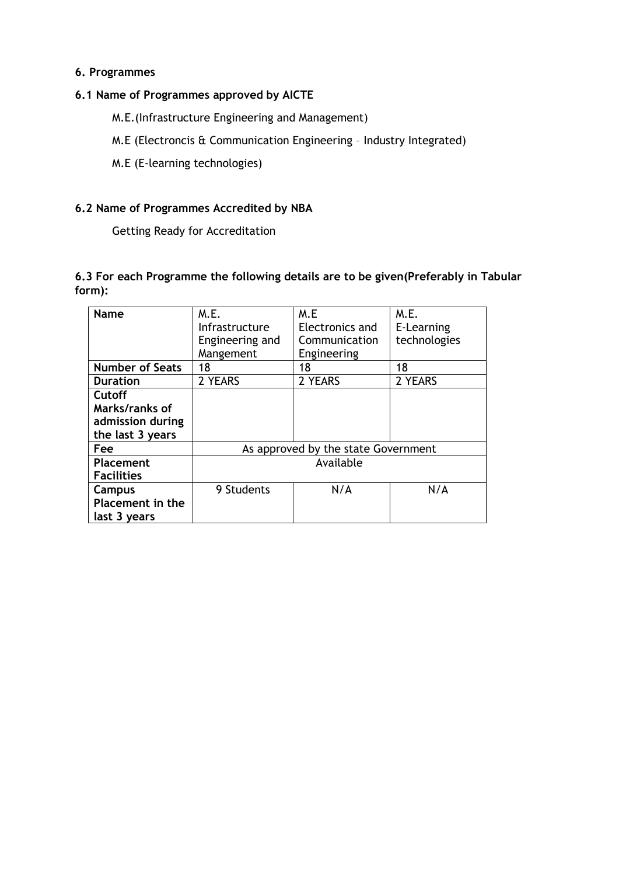#### **6. Programmes**

#### **6.1 Name of Programmes approved by AICTE**

M.E.(Infrastructure Engineering and Management)

M.E (Electroncis & Communication Engineering – Industry Integrated)

M.E (E-learning technologies)

#### **6.2 Name of Programmes Accredited by NBA**

Getting Ready for Accreditation

## **6.3 For each Programme the following details are to be given(Preferably in Tabular form):**

| <b>Name</b>                                | M.E.<br><b>Infrastructure</b> | M.E<br>Electronics and              | M.E.<br>E-Learning |
|--------------------------------------------|-------------------------------|-------------------------------------|--------------------|
|                                            | Engineering and<br>Mangement  | Communication<br>Engineering        | technologies       |
| <b>Number of Seats</b>                     | 18                            | 18                                  | 18                 |
| <b>Duration</b>                            | 2 YEARS                       | 2 YEARS                             | 2 YEARS            |
| <b>Cutoff</b>                              |                               |                                     |                    |
| Marks/ranks of<br>admission during         |                               |                                     |                    |
| the last 3 years                           |                               |                                     |                    |
| Fee                                        |                               | As approved by the state Government |                    |
| Placement<br><b>Facilities</b>             | Available                     |                                     |                    |
| Campus<br>Placement in the<br>last 3 years | 9 Students                    | N/A                                 | N/A                |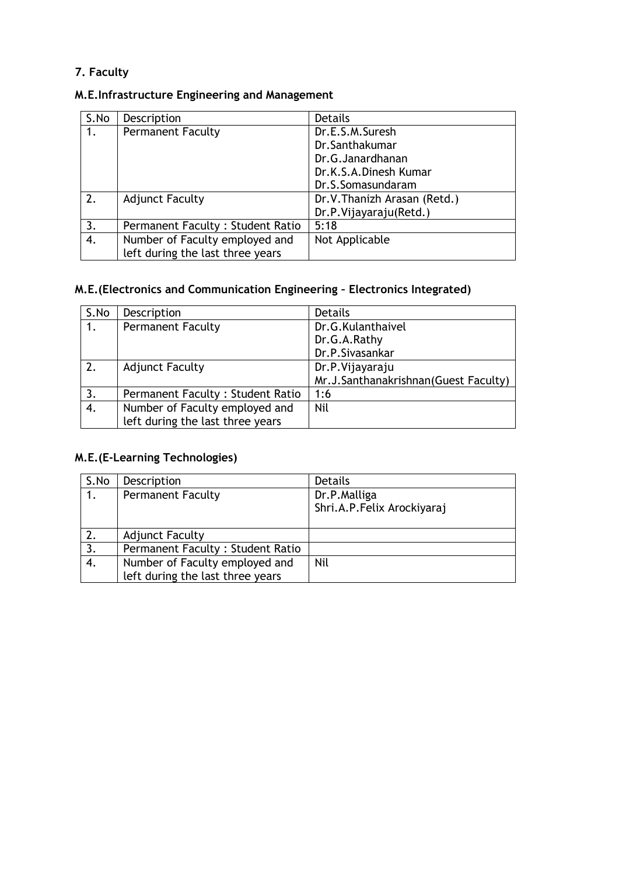# **7. Faculty**

# **M.E.Infrastructure Engineering and Management**

| S.No | Description                             | <b>Details</b>               |
|------|-----------------------------------------|------------------------------|
| 1.   | <b>Permanent Faculty</b>                | Dr.E.S.M.Suresh              |
|      |                                         | Dr.Santhakumar               |
|      |                                         | Dr.G.Janardhanan             |
|      |                                         | Dr.K.S.A.Dinesh Kumar        |
|      |                                         | Dr.S.Somasundaram            |
| 2.   | <b>Adjunct Faculty</b>                  | Dr.V. Thanizh Arasan (Retd.) |
|      |                                         | Dr.P.Vijayaraju(Retd.)       |
| 3.   | <b>Permanent Faculty: Student Ratio</b> | 5:18                         |
| 4.   | Number of Faculty employed and          | Not Applicable               |
|      | left during the last three years        |                              |

# **M.E.(Electronics and Communication Engineering – Electronics Integrated)**

| S.No | Description                      | <b>Details</b>                       |
|------|----------------------------------|--------------------------------------|
| 1.   | <b>Permanent Faculty</b>         | Dr.G.Kulanthaivel                    |
|      |                                  | Dr.G.A.Rathy                         |
|      |                                  | Dr.P.Sivasankar                      |
| 2.   | <b>Adjunct Faculty</b>           | Dr.P.Vijayaraju                      |
|      |                                  | Mr.J.Santhanakrishnan(Guest Faculty) |
| 3.   | Permanent Faculty: Student Ratio | 1:6                                  |
| 4.   | Number of Faculty employed and   | Nil                                  |
|      | left during the last three years |                                      |

# **M.E.(E-Learning Technologies)**

| S.No | Description                      | Details                                    |
|------|----------------------------------|--------------------------------------------|
|      | <b>Permanent Faculty</b>         | Dr.P.Malliga<br>Shri.A.P.Felix Arockiyaraj |
|      | <b>Adjunct Faculty</b>           |                                            |
| 3.   | Permanent Faculty: Student Ratio |                                            |
| 4.   | Number of Faculty employed and   | Nil                                        |
|      | left during the last three years |                                            |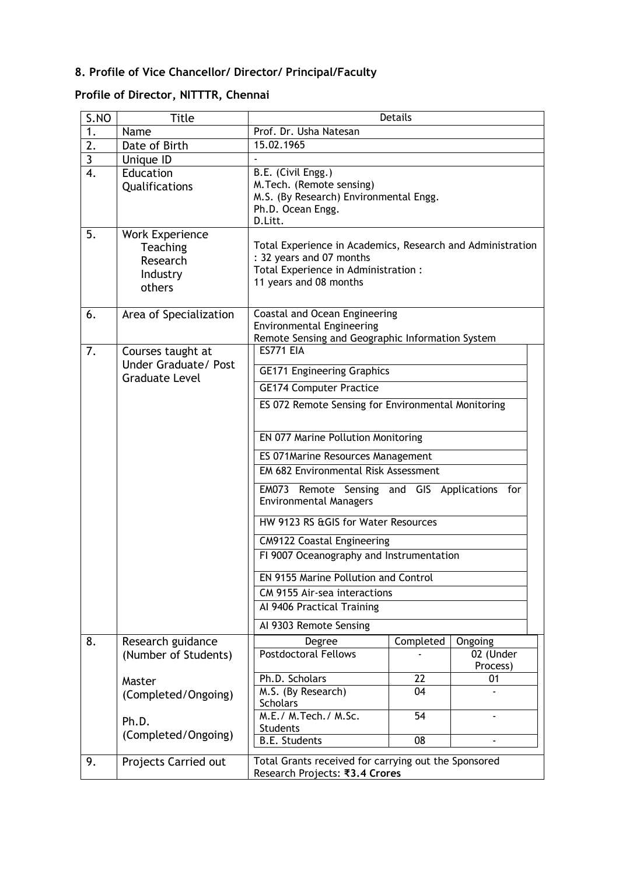# **8. Profile of Vice Chancellor/ Director/ Principal/Faculty**

# **Profile of Director, NITTTR, Chennai**

| S.NO             | <b>Title</b>                                                         | <b>Details</b>                                                                                                                                           |            |                       |  |
|------------------|----------------------------------------------------------------------|----------------------------------------------------------------------------------------------------------------------------------------------------------|------------|-----------------------|--|
| 1.               | Name                                                                 | Prof. Dr. Usha Natesan                                                                                                                                   |            |                       |  |
| $\overline{2}$ . | Date of Birth                                                        |                                                                                                                                                          | 15.02.1965 |                       |  |
| $\overline{3}$   | Unique ID                                                            |                                                                                                                                                          |            |                       |  |
| $\overline{4}$ . | Education<br>Qualifications                                          | B.E. (Civil Engg.)<br>M.Tech. (Remote sensing)<br>M.S. (By Research) Environmental Engg.<br>Ph.D. Ocean Engg.<br>D.Litt.                                 |            |                       |  |
| 5.               | <b>Work Experience</b><br>Teaching<br>Research<br>Industry<br>others | Total Experience in Academics, Research and Administration<br>: 32 years and 07 months<br>Total Experience in Administration :<br>11 years and 08 months |            |                       |  |
| 6.               | Area of Specialization                                               | Coastal and Ocean Engineering<br><b>Environmental Engineering</b><br>Remote Sensing and Geographic Information System                                    |            |                       |  |
| 7.               | Courses taught at                                                    | <b>ES771 EIA</b>                                                                                                                                         |            |                       |  |
|                  | Under Graduate/ Post                                                 | <b>GE171 Engineering Graphics</b>                                                                                                                        |            |                       |  |
|                  | <b>Graduate Level</b>                                                | <b>GE174 Computer Practice</b>                                                                                                                           |            |                       |  |
|                  |                                                                      |                                                                                                                                                          |            |                       |  |
|                  |                                                                      | ES 072 Remote Sensing for Environmental Monitoring                                                                                                       |            |                       |  |
|                  |                                                                      | EN 077 Marine Pollution Monitoring                                                                                                                       |            |                       |  |
|                  |                                                                      | ES 071 Marine Resources Management                                                                                                                       |            |                       |  |
|                  |                                                                      | EM 682 Environmental Risk Assessment                                                                                                                     |            |                       |  |
|                  |                                                                      | EM073 Remote Sensing and GIS Applications for<br><b>Environmental Managers</b>                                                                           |            |                       |  |
|                  |                                                                      | HW 9123 RS & GIS for Water Resources                                                                                                                     |            |                       |  |
|                  |                                                                      | CM9122 Coastal Engineering                                                                                                                               |            |                       |  |
|                  |                                                                      | FI 9007 Oceanography and Instrumentation                                                                                                                 |            |                       |  |
|                  |                                                                      | EN 9155 Marine Pollution and Control                                                                                                                     |            |                       |  |
|                  |                                                                      | CM 9155 Air-sea interactions                                                                                                                             |            |                       |  |
|                  |                                                                      | Al 9406 Practical Training                                                                                                                               |            |                       |  |
|                  |                                                                      | Al 9303 Remote Sensing                                                                                                                                   |            |                       |  |
| 8.               | Research guidance                                                    | Degree                                                                                                                                                   | Completed  | Ongoing               |  |
|                  | (Number of Students)                                                 | <b>Postdoctoral Fellows</b>                                                                                                                              |            | 02 (Under<br>Process) |  |
|                  | Master                                                               | Ph.D. Scholars                                                                                                                                           | 22         | 01                    |  |
|                  | (Completed/Ongoing)                                                  | M.S. (By Research)<br><b>Scholars</b>                                                                                                                    | 04         |                       |  |
|                  | Ph.D.                                                                | M.E./ M.Tech./ M.Sc.                                                                                                                                     | 54         |                       |  |
|                  | (Completed/Ongoing)                                                  | <b>Students</b>                                                                                                                                          |            |                       |  |
|                  |                                                                      | <b>B.E. Students</b>                                                                                                                                     | 08         |                       |  |
| 9.               | Projects Carried out                                                 | Total Grants received for carrying out the Sponsored<br>Research Projects: ₹3.4 Crores                                                                   |            |                       |  |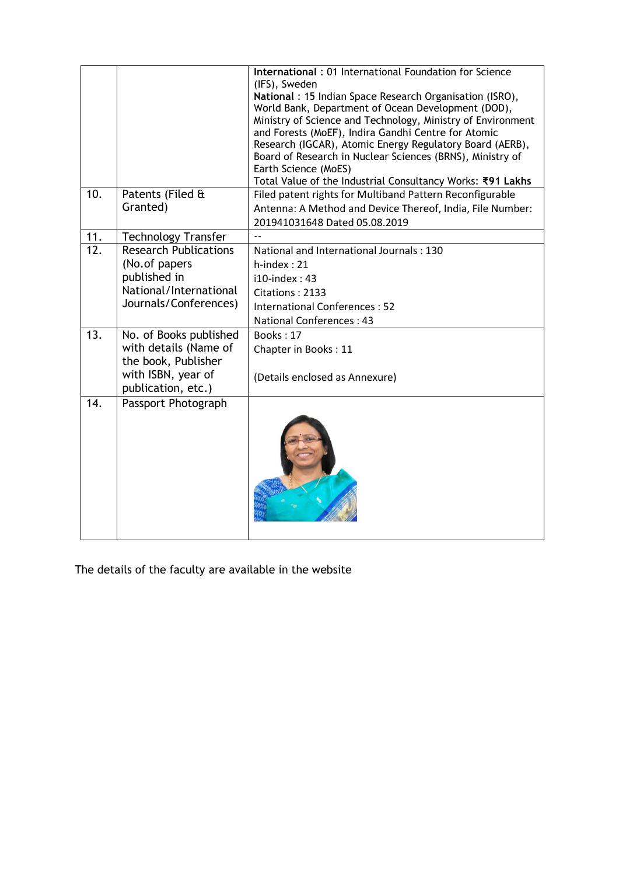|                   |                                                                                                                    | International: 01 International Foundation for Science<br>(IFS), Sweden<br>National: 15 Indian Space Research Organisation (ISRO),<br>World Bank, Department of Ocean Development (DOD),<br>Ministry of Science and Technology, Ministry of Environment<br>and Forests (MoEF), Indira Gandhi Centre for Atomic<br>Research (IGCAR), Atomic Energy Regulatory Board (AERB),<br>Board of Research in Nuclear Sciences (BRNS), Ministry of<br>Earth Science (MoES)<br>Total Value of the Industrial Consultancy Works: ₹91 Lakhs |
|-------------------|--------------------------------------------------------------------------------------------------------------------|-------------------------------------------------------------------------------------------------------------------------------------------------------------------------------------------------------------------------------------------------------------------------------------------------------------------------------------------------------------------------------------------------------------------------------------------------------------------------------------------------------------------------------|
| 10.               | Patents (Filed &<br>Granted)                                                                                       | Filed patent rights for Multiband Pattern Reconfigurable<br>Antenna: A Method and Device Thereof, India, File Number:<br>201941031648 Dated 05.08.2019                                                                                                                                                                                                                                                                                                                                                                        |
| 11.               | <b>Technology Transfer</b>                                                                                         |                                                                                                                                                                                                                                                                                                                                                                                                                                                                                                                               |
| $\overline{12}$ . | <b>Research Publications</b><br>(No.of papers<br>published in<br>National/International<br>Journals/Conferences)   | National and International Journals: 130<br>$h$ -index: 21<br>$i10$ -index: 43<br>Citations: 2133<br><b>International Conferences: 52</b><br><b>National Conferences: 43</b>                                                                                                                                                                                                                                                                                                                                                  |
| 13.               | No. of Books published<br>with details (Name of<br>the book, Publisher<br>with ISBN, year of<br>publication, etc.) | Books: 17<br>Chapter in Books: 11<br>(Details enclosed as Annexure)                                                                                                                                                                                                                                                                                                                                                                                                                                                           |
| 14.               | Passport Photograph                                                                                                |                                                                                                                                                                                                                                                                                                                                                                                                                                                                                                                               |

The details of the faculty are available in the website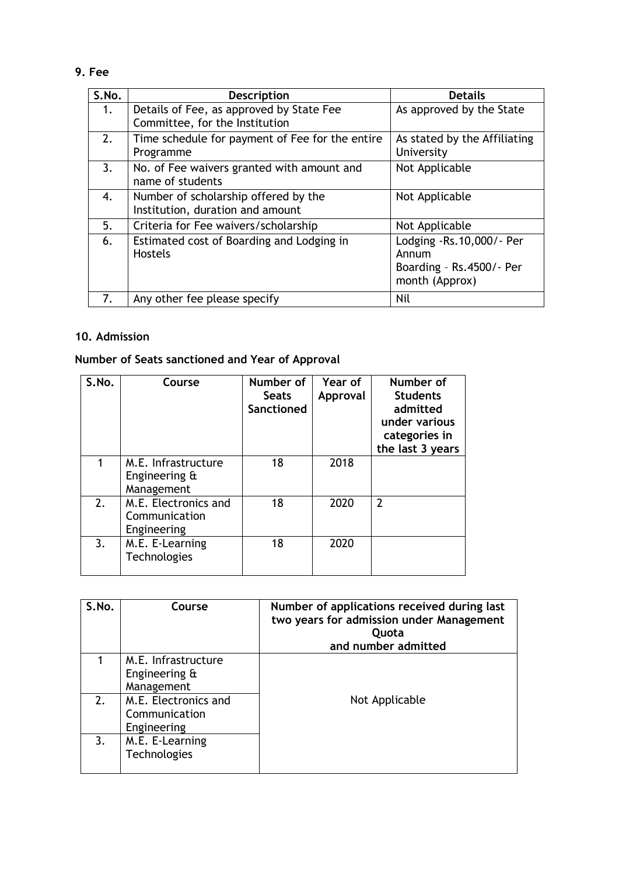# **9. Fee**

| S.No. | <b>Description</b>                                                         | <b>Details</b>                                                                  |
|-------|----------------------------------------------------------------------------|---------------------------------------------------------------------------------|
| 1.    | Details of Fee, as approved by State Fee<br>Committee, for the Institution | As approved by the State                                                        |
| 2.    | Time schedule for payment of Fee for the entire<br>Programme               | As stated by the Affiliating<br>University                                      |
| 3.    | No. of Fee waivers granted with amount and<br>name of students             | Not Applicable                                                                  |
| 4.    | Number of scholarship offered by the<br>Institution, duration and amount   | Not Applicable                                                                  |
| 5.    | Criteria for Fee waivers/scholarship                                       | Not Applicable                                                                  |
| 6.    | Estimated cost of Boarding and Lodging in<br><b>Hostels</b>                | Lodging -Rs.10,000/- Per<br>Annum<br>Boarding - Rs.4500/- Per<br>month (Approx) |
| 7.    | Any other fee please specify                                               | <b>Nil</b>                                                                      |

# **10. Admission**

# **Number of Seats sanctioned and Year of Approval**

| S.No. | Course                                               | Number of<br><b>Seats</b><br>Sanctioned | Year of<br>Approval | Number of<br><b>Students</b><br>admitted<br>under various<br>categories in<br>the last 3 years |
|-------|------------------------------------------------------|-----------------------------------------|---------------------|------------------------------------------------------------------------------------------------|
|       | M.E. Infrastructure<br>Engineering &<br>Management   | 18                                      | 2018                |                                                                                                |
| 2.    | M.E. Electronics and<br>Communication<br>Engineering | 18                                      | 2020                | $\overline{2}$                                                                                 |
| 3.    | M.E. E-Learning<br>Technologies                      | 18                                      | 2020                |                                                                                                |

| S.No. | Course                                               | Number of applications received during last<br>two years for admission under Management<br>Quota<br>and number admitted |
|-------|------------------------------------------------------|-------------------------------------------------------------------------------------------------------------------------|
|       | M.E. Infrastructure<br>Engineering &<br>Management   |                                                                                                                         |
| 2.    | M.E. Electronics and<br>Communication<br>Engineering | Not Applicable                                                                                                          |
| 3.    | M.E. E-Learning<br>Technologies                      |                                                                                                                         |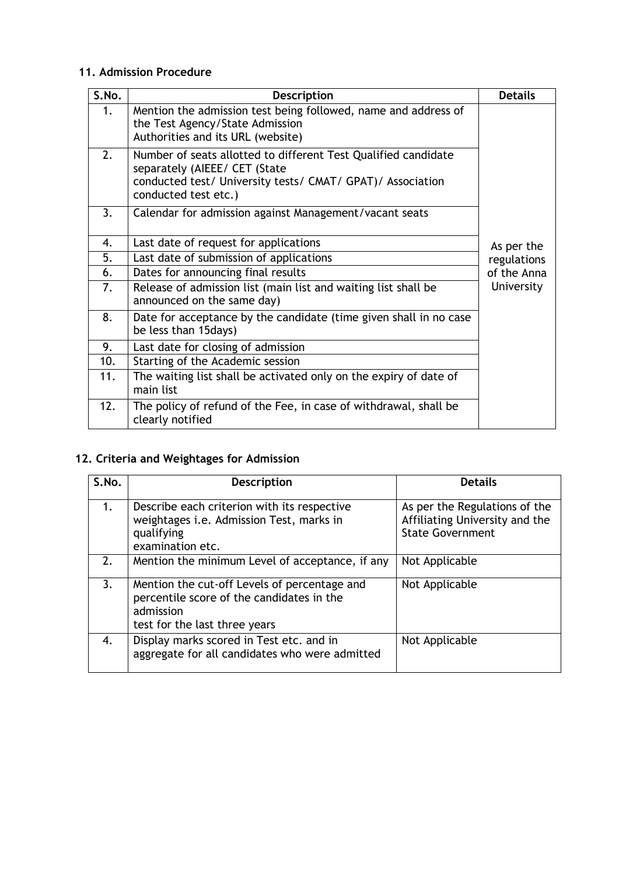## **11. Admission Procedure**

| S.No. | <b>Description</b>                                                                                                                                                                    | <b>Details</b> |
|-------|---------------------------------------------------------------------------------------------------------------------------------------------------------------------------------------|----------------|
| 1.    | Mention the admission test being followed, name and address of<br>the Test Agency/State Admission<br>Authorities and its URL (website)                                                |                |
| 2.    | Number of seats allotted to different Test Qualified candidate<br>separately (AIEEE/ CET (State<br>conducted test/ University tests/ CMAT/ GPAT)/ Association<br>conducted test etc.) |                |
| 3.    | Calendar for admission against Management/vacant seats                                                                                                                                |                |
| 4.    | Last date of request for applications                                                                                                                                                 | As per the     |
| 5.    | Last date of submission of applications                                                                                                                                               | regulations    |
| 6.    | Dates for announcing final results                                                                                                                                                    | of the Anna    |
| 7.    | Release of admission list (main list and waiting list shall be<br>announced on the same day)                                                                                          | University     |
| 8.    | Date for acceptance by the candidate (time given shall in no case<br>be less than 15days)                                                                                             |                |
| 9.    | Last date for closing of admission                                                                                                                                                    |                |
| 10.   | Starting of the Academic session                                                                                                                                                      |                |
| 11.   | The waiting list shall be activated only on the expiry of date of<br>main list                                                                                                        |                |
| 12.   | The policy of refund of the Fee, in case of withdrawal, shall be<br>clearly notified                                                                                                  |                |

# **12. Criteria and Weightages for Admission**

| S.No. | <b>Description</b>                                                                                                                      | <b>Details</b>                                                                             |
|-------|-----------------------------------------------------------------------------------------------------------------------------------------|--------------------------------------------------------------------------------------------|
| 1.    | Describe each criterion with its respective<br>weightages i.e. Admission Test, marks in<br>qualifying<br>examination etc.               | As per the Regulations of the<br>Affiliating University and the<br><b>State Government</b> |
| 2.    | Mention the minimum Level of acceptance, if any                                                                                         | Not Applicable                                                                             |
| 3.    | Mention the cut-off Levels of percentage and<br>percentile score of the candidates in the<br>admission<br>test for the last three years | Not Applicable                                                                             |
| 4.    | Display marks scored in Test etc. and in<br>aggregate for all candidates who were admitted                                              | Not Applicable                                                                             |